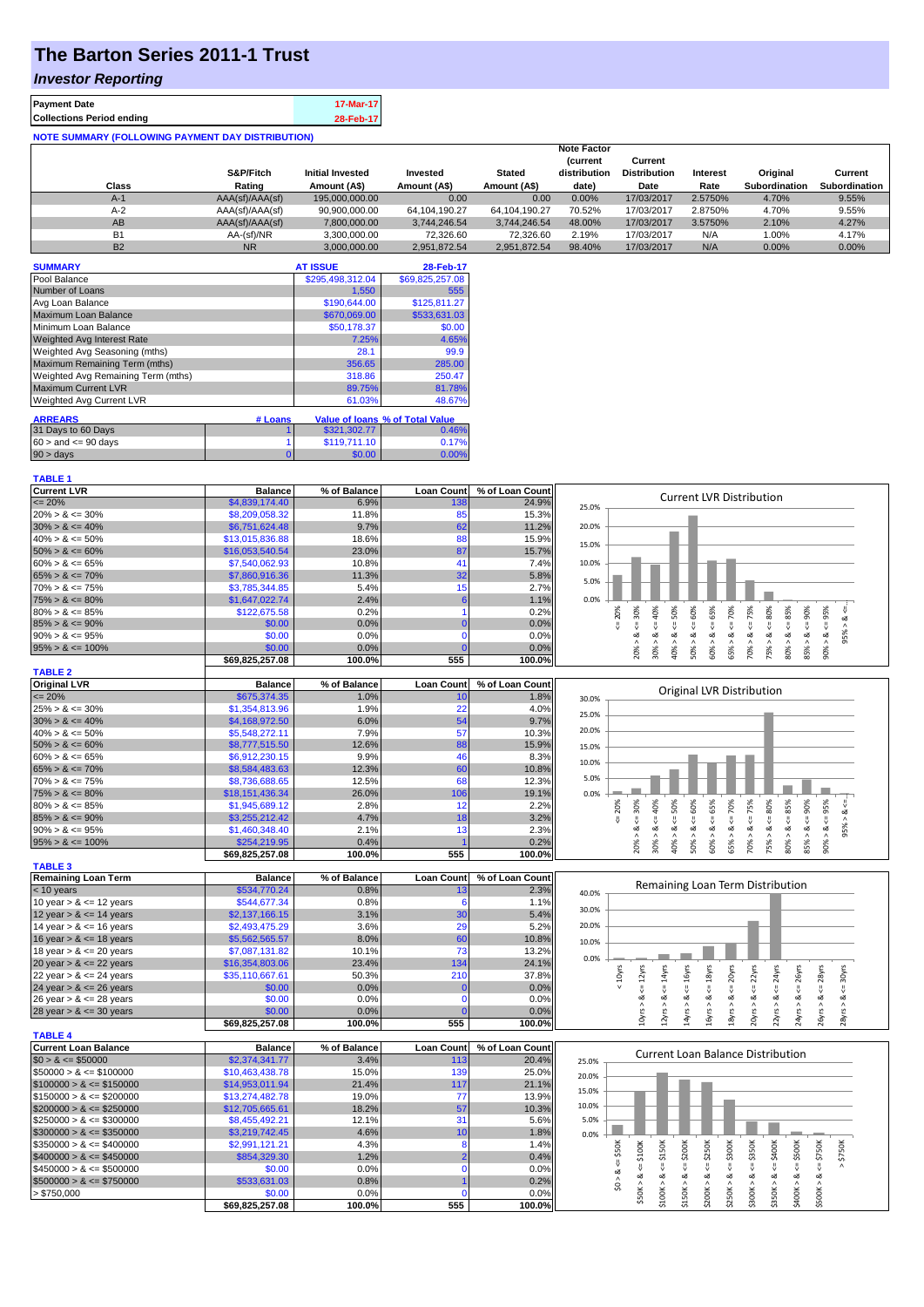## **The Barton Series 2011-1 Trust**

## *Investor Reporting*

| <b>Payment Date</b>                                      | 17-Mar-17 |
|----------------------------------------------------------|-----------|
| <b>Collections Period ending</b>                         | 28-Feb-17 |
| <b>NOTE SUMMARY (FOLLOWING PAYMENT DAY DISTRIBUTION)</b> |           |

|           |                 |                         |                  |               | <b>Note Factor</b> |                     |          |               |                      |
|-----------|-----------------|-------------------------|------------------|---------------|--------------------|---------------------|----------|---------------|----------------------|
|           |                 |                         |                  |               | <b>Current</b>     | Current             |          |               |                      |
|           | S&P/Fitch       | <b>Initial Invested</b> | Invested         | <b>Stated</b> | distribution       | <b>Distribution</b> | Interest | Original      | Current              |
| Class     | Rating          | Amount (A\$)            | Amount (A\$)     | Amount (A\$)  | date)              | Date                | Rate     | Subordination | <b>Subordination</b> |
| $A-1$     | AAA(sf)/AAA(sf) | 195.000.000.00          | 0.00             | 0.00          | $0.00\%$           | 17/03/2017          | 2.5750%  | 4.70%         | 9.55%                |
| $A-2$     | AAA(sf)/AAA(sf) | 90,900,000.00           | 64, 104, 190. 27 | 64.104.190.27 | 70.52%             | 17/03/2017          | 2.8750%  | 4.70%         | 9.55%                |
| AB        | AAA(sf)/AAA(sf) | 7,800,000.00            | 3.744.246.54     | 3.744.246.54  | 48.00%             | 17/03/2017          | 3.5750%  | 2.10%         | 4.27%                |
| <b>B1</b> | AA-(sf)/NR      | 3.300.000.00            | 72.326.60        | 72.326.60     | 2.19%              | 17/03/2017          | N/A      | 1.00%         | 4.17%                |
| <b>B2</b> | <b>NR</b>       | 3.000.000.00            | 2.951.872.54     | 2.951.872.54  | 98.40%             | 17/03/2017          | N/A      | 0.00%         | $0.00\%$             |

| <b>SUMMARY</b>                     |         | <b>AT ISSUE</b>  | 28-Feb-17                       |
|------------------------------------|---------|------------------|---------------------------------|
| Pool Balance                       |         | \$295,498,312.04 | \$69,825,257.08                 |
| Number of Loans                    |         | 1.550            | 555                             |
| Avg Loan Balance                   |         | \$190,644.00     | \$125,811.27                    |
| Maximum Loan Balance               |         | \$670,069.00     | \$533,631.03                    |
| Minimum Loan Balance               |         | \$50,178.37      | \$0.00                          |
| <b>Weighted Avg Interest Rate</b>  |         | 7.25%            | 4.65%                           |
| Weighted Avg Seasoning (mths)      |         | 28.1             | 99.9                            |
| Maximum Remaining Term (mths)      |         | 356.65           | 285.00                          |
| Weighted Avg Remaining Term (mths) |         | 318.86           | 250.47                          |
| <b>Maximum Current LVR</b>         |         | 89.75%           | 81.78%                          |
| <b>Weighted Avg Current LVR</b>    |         | 61.03%           | 48.67%                          |
| <b>ARREARS</b>                     | # Loans |                  | Value of Ioans % of Total Value |
| 31 Days to 60 Days                 |         | \$321,302.77     | 0.46%                           |
| $60 >$ and $\leq 90$ days          |         | \$119,711.10     | 0.17%                           |
| $90 > \text{days}$                 | 0       | \$0.00           | 0.00%                           |

**TABLE 1**

| <b>Current LVR</b>    | <b>Balance</b>  | % of Balance     | <b>Loan Count</b> | % of Loan Count             | <b>Current LVR Distribution</b>                                                        |
|-----------------------|-----------------|------------------|-------------------|-----------------------------|----------------------------------------------------------------------------------------|
| $\epsilon = 20\%$     | \$4,839,174,40  | 6.9%             | 138               | 24.9%                       | 25.0%                                                                                  |
| $20\% > 8 \le 30\%$   | \$8,209,058.32  | 11.8%            | 85                | 15.3%                       |                                                                                        |
| $30\% > 8 \le 40\%$   | \$6,751,624.48  | 9.7%             | 62                | 11.2%                       | 20.0%                                                                                  |
| $40\% > 8 \le 50\%$   | \$13,015,836.88 | 18.6%            | 88                | 15.9%                       | 15.0%                                                                                  |
| $50\% > 8 \le 60\%$   | \$16,053,540.54 | 23.0%            | 87                | 15.7%                       |                                                                                        |
| $60\% > 8 \le 65\%$   | \$7,540,062.93  | 10.8%            | 41                | 7.4%                        | 10.0%                                                                                  |
| $65\% > 8 \le 70\%$   | \$7,860,916.36  | 11.3%            | 32                | 5.8%                        | 5.0%                                                                                   |
| $70\% > 8 \le 75\%$   | \$3,785,344.85  | 5.4%             | 15                | 2.7%                        |                                                                                        |
| $75\% > 8 \le 80\%$   | \$1,647,022.74  | 2.4%             |                   | 1.1%                        | 0.0%                                                                                   |
| $80\% > 8 \le 85\%$   | \$122,675.58    | 0.2%             |                   | 0.2%                        | 30%<br>40%<br>65%<br>80%<br>50%<br>60%<br>70%<br>75%<br>90%<br>95%<br>85%<br>20%       |
| $85\% > 8 \le 90\%$   | \$0.00          | 0.0%             | $\Omega$          | 0.0%                        |                                                                                        |
| $90\% > 8 \le 95\%$   | \$0.00          | 0.0%             |                   | 0.0%                        | o2<br>ಂಶ                                                                               |
| $95\% > 8 \le 100\%$  | \$0.00          | 0.0%             |                   | 0.0%                        | 75%<br>30%<br>40%<br>60%<br>65%<br>80%<br>90%<br>70%<br>85%<br>20%<br>50%              |
|                       | \$69,825,257.08 | 100.0%           | 555               | 100.0%                      |                                                                                        |
| <b>TABLE 2</b>        |                 |                  |                   |                             |                                                                                        |
| <b>Original LVR</b>   | <b>Balance</b>  | % of Balance     | <b>Loan Count</b> | % of Loan Count             | Original LVR Distribution                                                              |
| $\leq$ 20%            | \$675,374.35    | 1.0%             | 10                | 1.8%                        | 30.0%                                                                                  |
| $25\% > 8 \le 30\%$   | \$1,354,813.96  | 1.9%             | 22                | 4.0%                        | 25.0%                                                                                  |
| $30\% > 8 \le 40\%$   | \$4,168,972.50  | 6.0%             | 54                | 9.7%                        |                                                                                        |
| $40\% > 8 \le 50\%$   | \$5.548.272.11  | 7.9%             | 57                | 10.3%                       | 20.0%                                                                                  |
| $50\% > 8 \le 60\%$   | \$8,777,515.50  | 12.6%            | 88                | 15.9%                       | 15.0%                                                                                  |
| $60\% > 8 \le 65\%$   | \$6,912,230.15  | 9.9%             | 46                | 8.3%                        | 10.0%                                                                                  |
| $65\% > 8 \le 70\%$   | \$8,584,483.63  | 12.3%            | 60                | 10.8%                       |                                                                                        |
| $70\% > 8 \le 75\%$   | \$8,736,688.65  | 12.5%            | 68                | 12.3%                       | 5.0%                                                                                   |
| $75\% > 8 \le 80\%$   | \$18,151,436.34 | 26.0%            | 106               | 19.1%                       | 0.0%                                                                                   |
| $80\% > 8 \le 85\%$   | \$1,945,689.12  | 2.8%             | 12                | 2.2%                        | 95%<br>30%<br>50%<br>60%<br>65%<br>70%<br>75%<br>80%<br>90%<br>20%<br>40%<br>85%<br>ಂಶ |
| $85\% > 8 \le 90\%$   | \$3,255,212.42  | 4.7%             | 18                | 3.2%                        |                                                                                        |
| $90\% > 8 \le 95\%$   | \$1,460,348.40  | 2.1%             | 13                | 2.3%                        | $\alpha$<br>ಷ                                                                          |
| $95\% > 8 \le 100\%$  | \$254,219.95    | 0.4%             |                   | 0.2%                        | 40%<br>65%<br>70%<br>30%<br>60%<br>75%<br>80%<br>90%<br>50%<br>20%<br>83               |
|                       | \$69,825,257.08 | 100.0%           | 555               | 100.0%                      |                                                                                        |
| <b>TABLE 3</b>        |                 |                  |                   |                             |                                                                                        |
| Demolisian Loga Tenni | <b>Delegac</b>  | $0/1$ of Delense |                   | Long Count 0/ of Long Count |                                                                                        |

| Remaining Loan Term        | <b>Balance</b>  | % of Balance | <b>Loan Countl</b> | % of Loan Count |       |  |  |  |   |        |                                  |   |  |
|----------------------------|-----------------|--------------|--------------------|-----------------|-------|--|--|--|---|--------|----------------------------------|---|--|
| $< 10$ years               | \$534,770.24    | 0.8%         |                    | 2.3%            | 40.0% |  |  |  |   |        | Remaining Loan Term Distribution |   |  |
| 10 year $> 8 \le 12$ years | \$544,677,34    | 0.8%         |                    | 1.1%            |       |  |  |  |   |        |                                  |   |  |
| 12 year $> 8 \le 14$ years | \$2,137,166.15  | 3.1%         | 30                 | 5.4%            | 30.0% |  |  |  |   |        |                                  |   |  |
| 14 year $> 8 \le 16$ years | \$2,493,475.29  | 3.6%         | 29                 | 5.2%            | 20.0% |  |  |  |   |        |                                  |   |  |
| 16 year $> 8 \le 18$ years | \$5,562,565.57  | 8.0%         | 60                 | 10.8%           | 10.0% |  |  |  |   |        |                                  |   |  |
| 18 year $> 8 \le 20$ years | \$7,087,131.82  | 10.1%        | 73.                | 13.2%           |       |  |  |  |   |        |                                  |   |  |
| 20 year $> 8 \le 22$ years | \$16,354,803.06 | 23.4%        | 134                | 24.1%           | 0.0%  |  |  |  |   |        |                                  |   |  |
| 22 year $> 8 \le 24$ years | \$35,110,667.61 | 50.3%        | 210                | 37.8%           |       |  |  |  |   |        |                                  | ₹ |  |
| 24 year $> 8 \le 26$ years | \$0.00          | 0.0%         |                    | 0.0%            |       |  |  |  |   |        |                                  |   |  |
| 26 year $> 8 \le 28$ years | \$0.00          | 0.0%         |                    | 0.0%            |       |  |  |  |   |        |                                  |   |  |
| 28 year $> 8 \le 30$ years | \$0.00          | 0.0%         |                    | 0.0%            |       |  |  |  |   |        |                                  |   |  |
|                            | \$69,825,257.08 | 100.0%       | 555                | 100.0%          |       |  |  |  | ៱ | $\sim$ |                                  | ನ |  |
| <b>TABLE 4</b>             |                 |              |                    |                 |       |  |  |  |   |        |                                  |   |  |
|                            |                 |              |                    |                 |       |  |  |  |   |        |                                  |   |  |

| <b>TABLE 4</b>               |                 |              |                   |                 |       |   |      |                  |        |   |      |                                   |   |   |  |
|------------------------------|-----------------|--------------|-------------------|-----------------|-------|---|------|------------------|--------|---|------|-----------------------------------|---|---|--|
| <b>Current Loan Balance</b>  | <b>Balance</b>  | % of Balance | <b>Loan Count</b> | % of Loan Count |       |   |      |                  |        |   |      | Current Loan Balance Distribution |   |   |  |
| $$0 > 8 \leq $50000$         | \$2,374,341,77  | 3.4%         | 113               | 20.4%           | 25.0% |   |      |                  |        |   |      |                                   |   |   |  |
| $\$50000 > 8 \leq \$100000$  | \$10,463,438.78 | 15.0%        | 139               | 25.0%           | 20.0% |   |      |                  |        |   |      |                                   |   |   |  |
| $$100000 > 8 \leq $150000$   | \$14,953,011,94 | 21.4%        | 117               | 21.1%           |       |   |      |                  |        |   |      |                                   |   |   |  |
| $$150000 > 8 \leq $200000$   | \$13,274,482.78 | 19.0%        |                   | 13.9%           | 15.0% |   |      |                  |        |   |      |                                   |   |   |  |
| $$200000 > 8 \leq $250000$   | \$12,705,665,61 | 18.2%        | 57                | 10.3%           | 10.0% |   |      |                  |        |   |      |                                   |   |   |  |
| $\$250000 > 8 \leq \$300000$ | \$8,455,492.21  | 12.1%        | 3.                | 5.6%            | 5.0%  |   |      |                  |        |   |      |                                   |   |   |  |
| $\$300000 > 8 \leq \$350000$ | \$3.219.742.45  | 4.6%         | 10                | 1.8%            | 0.0%  |   |      |                  |        |   |      |                                   |   |   |  |
| $\$350000 > 8 \leq \$400000$ | \$2,991.121.21  | 4.3%         |                   | 1.4%            |       |   | ក្តី | 200 <sub>k</sub> | ă      | Š | ក្តី | š                                 | š | ă |  |
| $$400000 > 8 \leq $450000$   | \$854,329,30    | 1.2%         |                   | 0.4%            |       |   |      |                  | $\sim$ |   | చి   |                                   |   | ∴ |  |
| $\$450000 > 8 \leq \$500000$ | \$0.00          | 0.0%         |                   | 0.0%            |       | œ |      |                  |        |   |      |                                   |   |   |  |
| $$500000 > 8 \leq $750000$   | \$533,631,03    | 0.8%         |                   | 0.2%            |       |   | ∞    | ∝                | ಯ      | ಯ | ∞    | ∝                                 | ∞ |   |  |
| > \$750,000                  | \$0.00          | 0.0%         |                   | 0.0%            |       |   |      |                  |        | ⌒ | ⌒    | 后                                 |   |   |  |
|                              | \$69.825.257.08 | 100.0%       | 555               | 100.0%          |       |   |      |                  |        |   |      |                                   |   |   |  |